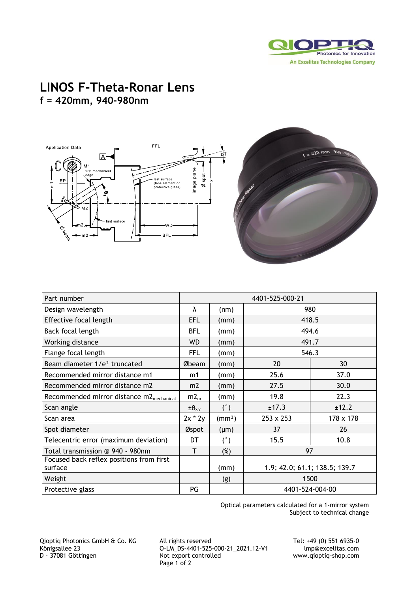

## **LINOS F-Theta-Ronar Lens f = 420mm, 940-980nm**



| Part number                                          | 4401-525-000-21    |                    |                               |           |
|------------------------------------------------------|--------------------|--------------------|-------------------------------|-----------|
| Design wavelength                                    | λ                  | (nm)               | 980                           |           |
| Effective focal length                               | EFL                | (mm)               | 418.5                         |           |
| Back focal length                                    | BFL                | (mm)               | 494.6                         |           |
| Working distance                                     | <b>WD</b>          | (mm)               | 491.7                         |           |
| Flange focal length                                  | FFL                | (mm)               | 546.3                         |           |
| Beam diameter 1/e <sup>2</sup> truncated             | Øbeam              | (mm)               | 20                            | 30        |
| Recommended mirror distance m1                       | m1                 | (mm)               | 25.6                          | 37.0      |
| Recommended mirror distance m2                       | m2                 | (mm)               | 27.5                          | 30.0      |
| Recommended mirror distance m2 <sub>mechanical</sub> | $m2_m$             | (mm)               | 19.8                          | 22.3      |
| Scan angle                                           | $\pm \theta_{x,y}$ | $(^\circ)$         | ±17.3                         | ±12.2     |
| Scan area                                            | $2x * 2y$          | (mm <sup>2</sup> ) | $253 \times 253$              | 178 x 178 |
| Spot diameter                                        | Øspot              | $(\mu m)$          | 37                            | 26        |
| Telecentric error (maximum deviation)                | DT                 | (°)                | 15.5                          | 10.8      |
| Total transmission @ 940 - 980nm                     | т                  | $(\%)$             | 97                            |           |
| Focused back reflex positions from first<br>surface  |                    | (mm)               | 1.9; 42.0; 61.1; 138.5; 139.7 |           |
| Weight                                               |                    | (g)                | 1500                          |           |
| Protective glass                                     | PG                 |                    | 4401-524-004-00               |           |

Optical parameters calculated for a 1-mirror system Subject to technical change

Qioptiq Photonics GmbH & Co. KG All rights reserved Tel: +49 (0) 551 6935-0 Königsallee 23 O-LM\_DS-4401-525-000-21\_2021.12-V1 lmp@excelitas.com D - 37081 Göttingen Not export controlled www.qioptiq-shop.com Page 1 of 2